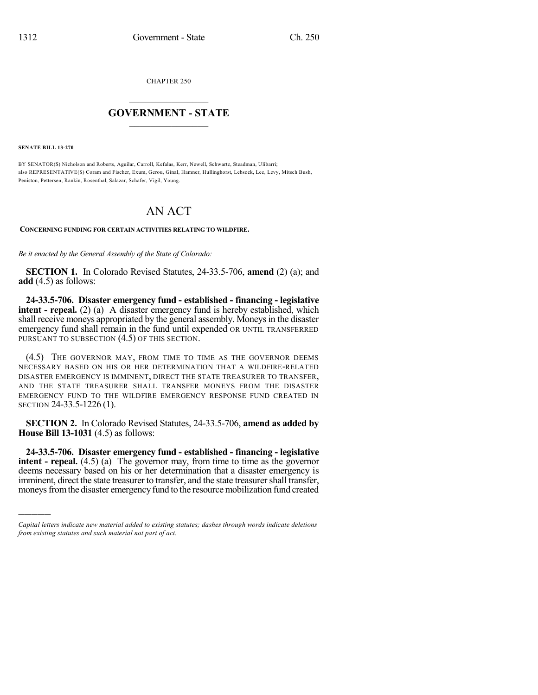CHAPTER 250

## $\overline{\phantom{a}}$  . The set of the set of the set of the set of the set of the set of the set of the set of the set of the set of the set of the set of the set of the set of the set of the set of the set of the set of the set o **GOVERNMENT - STATE**  $\_$

**SENATE BILL 13-270**

)))))

BY SENATOR(S) Nicholson and Roberts, Aguilar, Carroll, Kefalas, Kerr, Newell, Schwartz, Steadman, Ulibarri; also REPRESENTATIVE(S) Coram and Fischer, Exum, Gerou, Ginal, Hamner, Hullinghorst, Lebsock, Lee, Levy, Mitsch Bush, Peniston, Pettersen, Rankin, Rosenthal, Salazar, Schafer, Vigil, Young.

## AN ACT

**CONCERNING FUNDING FOR CERTAIN ACTIVITIES RELATING TO WILDFIRE.**

*Be it enacted by the General Assembly of the State of Colorado:*

**SECTION 1.** In Colorado Revised Statutes, 24-33.5-706, **amend** (2) (a); and **add** (4.5) as follows:

**24-33.5-706. Disaster emergency fund - established - financing - legislative intent - repeal.** (2) (a) A disaster emergency fund is hereby established, which shall receive moneys appropriated by the general assembly. Moneys in the disaster emergency fund shall remain in the fund until expended OR UNTIL TRANSFERRED PURSUANT TO SUBSECTION  $(4.5)$  OF THIS SECTION.

(4.5) THE GOVERNOR MAY, FROM TIME TO TIME AS THE GOVERNOR DEEMS NECESSARY BASED ON HIS OR HER DETERMINATION THAT A WILDFIRE-RELATED DISASTER EMERGENCY IS IMMINENT, DIRECT THE STATE TREASURER TO TRANSFER, AND THE STATE TREASURER SHALL TRANSFER MONEYS FROM THE DISASTER EMERGENCY FUND TO THE WILDFIRE EMERGENCY RESPONSE FUND CREATED IN SECTION 24-33.5-1226 (1).

**SECTION 2.** In Colorado Revised Statutes, 24-33.5-706, **amend as added by House Bill 13-1031** (4.5) as follows:

**24-33.5-706. Disaster emergency fund - established - financing - legislative intent - repeal.** (4.5) (a) The governor may, from time to time as the governor deems necessary based on his or her determination that a disaster emergency is imminent, direct the state treasurer to transfer, and the state treasurer shall transfer, moneys from the disaster emergency fund to the resource mobilization fund created

*Capital letters indicate new material added to existing statutes; dashes through words indicate deletions from existing statutes and such material not part of act.*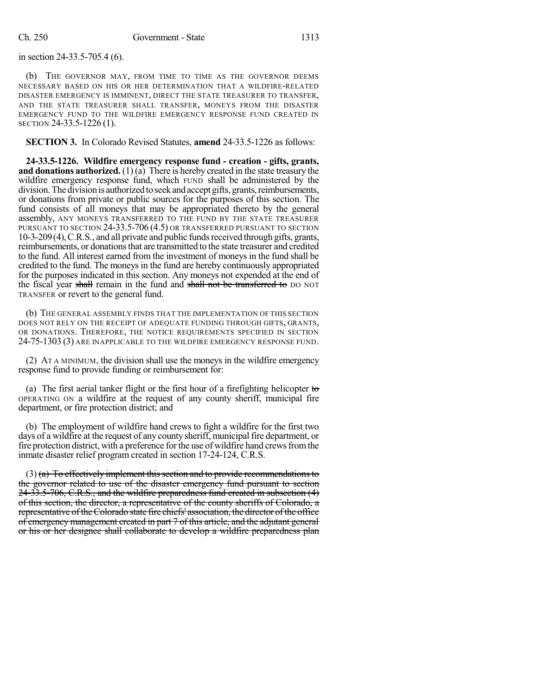in section 24-33.5-705.4 (6).

(b) THE GOVERNOR MAY, FROM TIME TO TIME AS THE GOVERNOR DEEMS NECESSARY BASED ON HIS OR HER DETERMINATION THAT A WILDFIRE-RELATED DISASTER EMERGENCY IS IMMINENT, DIRECT THE STATE TREASURER TO TRANSFER, AND THE STATE TREASURER SHALL TRANSFER, MONEYS FROM THE DISASTER EMERGENCY FUND TO THE WILDFIRE EMERGENCY RESPONSE FUND CREATED IN SECTION 24-33.5-1226 (1).

**SECTION 3.** In Colorado Revised Statutes, **amend** 24-33.5-1226 as follows:

**24-33.5-1226. Wildfire emergency response fund - creation - gifts, grants, and donations authorized.** (1) (a) There is hereby created in the state treasury the wildfire emergency response fund, which FUND shall be administered by the division. The division is authorized to seek and accept gifts, grants, reimbursements, or donations from private or public sources for the purposes of this section. The fund consists of all moneys that may be appropriated thereto by the general assembly, ANY MONEYS TRANSFERRED TO THE FUND BY THE STATE TREASURER PURSUANT TO SECTION 24-33.5-706 (4.5) OR TRANSFERRED PURSUANT TO SECTION 10-3-209(4),C.R.S., and all private and public fundsreceived through gifts, grants, reimbursements, or donations that are transmitted to the state treasurer and credited to the fund. All interest earned from the investment of moneys in the fund shall be credited to the fund. The moneys in the fund are hereby continuously appropriated for the purposes indicated in this section. Any moneys not expended at the end of the fiscal year shall remain in the fund and shall not be transferred to DO NOT TRANSFER or revert to the general fund.

(b) THE GENERAL ASSEMBLY FINDS THAT THE IMPLEMENTATION OF THIS SECTION DOES NOT RELY ON THE RECEIPT OF ADEQUATE FUNDING THROUGH GIFTS, GRANTS, OR DONATIONS. THEREFORE, THE NOTICE REQUIREMENTS SPECIFIED IN SECTION 24-75-1303 (3) ARE INAPPLICABLE TO THE WILDFIRE EMERGENCY RESPONSE FUND.

(2) AT A MINIMUM, the division shall use the moneys in the wildfire emergency response fund to provide funding or reimbursement for:

(a) The first aerial tanker flight or the first hour of a firefighting helicopter to OPERATING ON a wildfire at the request of any county sheriff, municipal fire department, or fire protection district; and

(b) The employment of wildfire hand crews to fight a wildfire for the first two days of a wildfire at the request of any county sheriff, municipal fire department, or fire protection district, with a preference for the use of wildfire hand crews from the inmate disaster relief program created in section 17-24-124, C.R.S.

 $(3)$  (a) To effectively implement this section and to provide recommendations to the governor related to use of the disaster emergency fund pursuant to section 24-33.5-706, C.R.S., and the wildfire preparedness fund created in subsection (4) of this section, the director, a representative of the county sheriffs of Colorado, a representative of the Colorado state fire chiefs' association, the director of the office of emergency management created in part 7 of this article, and the adjutant general or his or her designee shall collaborate to develop a wildfire preparedness plan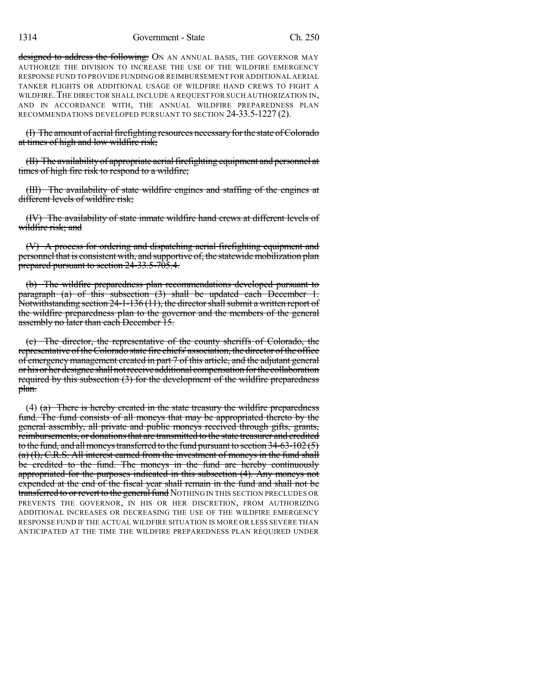designed to address the following: ON AN ANNUAL BASIS, THE GOVERNOR MAY AUTHORIZE THE DIVISION TO INCREASE THE USE OF THE WILDFIRE EMERGENCY RESPONSE FUND TO PROVIDE FUNDING OR REIMBURSEMENT FOR ADDITIONAL AERIAL TANKER FLIGHTS OR ADDITIONAL USAGE OF WILDFIRE HAND CREWS TO FIGHT A WILDFIRE. THE DIRECTOR SHALL INCLUDE A REQUEST FOR SUCH AUTHORIZATION IN, AND IN ACCORDANCE WITH, THE ANNUAL WILDFIRE PREPAREDNESS PLAN RECOMMENDATIONS DEVELOPED PURSUANT TO SECTION 24-33.5-1227 (2).

(I) The amount of aerial firefighting resources necessary for the state of Colorado at times of high and low wildfire risk;

(II) The availability of appropriate aerial firefighting equipment and personnel at times of high fire risk to respond to a wildfire;

(III) The availability of state wildfire engines and staffing of the engines at different levels of wildfire risk;

(IV) The availability of state inmate wildfire hand crews at different levels of wildfire risk; and

(V) A process for ordering and dispatching aerial firefighting equipment and personnel that is consistent with, and supportive of, the statewide mobilization plan prepared pursuant to section 24-33.5-705.4.

(b) The wildfire preparedness plan recommendations developed pursuant to paragraph (a) of this subsection (3) shall be updated each December 1. Notwithstanding section 24-1-136 (11), the director shall submit a written report of the wildfire preparedness plan to the governor and the members of the general assembly no later than each December 15.

(c) The director, the representative of the county sheriffs of Colorado, the representative of the Colorado state fire chiefs' association, the director of the office of emergency management created in part 7 of this article, and the adjutant general or his or her designee shall not receive additional compensation for the collaboration required by this subsection (3) for the development of the wildfire preparedness plan.

(4)  $(a)$  There is hereby created in the state treasury the wildfire preparedness fund. The fund consists of all moneys that may be appropriated thereto by the general assembly, all private and public moneys received through gifts, grants, reimbursements, or donations that are transmitted to the state treasurer and credited to the fund, and all moneys transferred to the fund pursuant to section  $34-63-102(5)$ (a) (I), C.R.S. All interest earned from the investment of moneys in the fund shall be credited to the fund. The moneys in the fund are hereby continuously appropriated for the purposes indicated in this subsection (4). Any moneys not expended at the end of the fiscal year shall remain in the fund and shall not be transferred to or revert to the general fund NOTHING IN THIS SECTION PRECLUDES OR PREVENTS THE GOVERNOR, IN HIS OR HER DISCRETION, FROM AUTHORIZING ADDITIONAL INCREASES OR DECREASING THE USE OF THE WILDFIRE EMERGENCY RESPONSE FUND IF THE ACTUAL WILDFIRE SITUATION IS MORE OR LESS SEVERE THAN ANTICIPATED AT THE TIME THE WILDFIRE PREPAREDNESS PLAN REQUIRED UNDER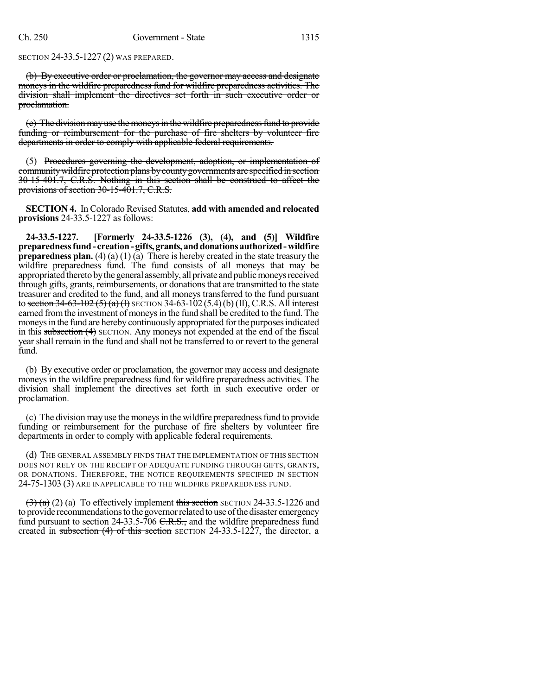SECTION 24-33.5-1227 (2) WAS PREPARED.

(b) By executive order or proclamation, the governor may access and designate moneys in the wildfire preparedness fund for wildfire preparedness activities. The division shall implement the directives set forth in such executive order or proclamation.

(e) The division may use the moneys in the wildfire preparedness fund to provide funding or reimbursement for the purchase of fire shelters by volunteer fire departments in order to comply with applicable federal requirements.

(5) Procedures governing the development, adoption, or implementation of community wild fire protection plans by county governments are specified in section 30-15-401.7, C.R.S. Nothing in this section shall be construed to affect the provisions of section 30-15-401.7, C.R.S.

**SECTION 4.** In Colorado Revised Statutes, **add with amended and relocated provisions** 24-33.5-1227 as follows:

**24-33.5-1227. [Formerly 24-33.5-1226 (3), (4), and (5)] Wildfire preparednessfund- creation-gifts,grants,anddonationsauthorized-wildfire preparedness plan.**  $(4)(a)(1)(\bar{a})$  There is hereby created in the state treasury the wildfire preparedness fund. The fund consists of all moneys that may be appropriated thereto by the general assembly, all private and public moneys received through gifts, grants, reimbursements, or donationsthat are transmitted to the state treasurer and credited to the fund, and all moneys transferred to the fund pursuant to section 34-63-102 (5) (a) (I) SECTION 34-63-102 (5.4)(b) (II), C.R.S. All interest earned from the investment of moneys in the fund shall be credited to the fund. The moneys in the fund are hereby continuously appropriated for the purposes indicated in this subsection (4) SECTION. Any moneys not expended at the end of the fiscal year shall remain in the fund and shall not be transferred to or revert to the general fund.

(b) By executive order or proclamation, the governor may access and designate moneys in the wildfire preparedness fund for wildfire preparedness activities. The division shall implement the directives set forth in such executive order or proclamation.

(c) The division may use the moneysin the wildfire preparednessfund to provide funding or reimbursement for the purchase of fire shelters by volunteer fire departments in order to comply with applicable federal requirements.

(d) THE GENERAL ASSEMBLY FINDS THAT THE IMPLEMENTATION OF THIS SECTION DOES NOT RELY ON THE RECEIPT OF ADEQUATE FUNDING THROUGH GIFTS, GRANTS, OR DONATIONS. THEREFORE, THE NOTICE REQUIREMENTS SPECIFIED IN SECTION 24-75-1303 (3) ARE INAPPLICABLE TO THE WILDFIRE PREPAREDNESS FUND.

 $(3)$  (a) (a) To effectively implement this section SECTION 24-33.5-1226 and to provide recommendations to the governor related to use of the disaster emergency fund pursuant to section 24-33.5-706 C.R.S., and the wildfire preparedness fund created in subsection (4) of this section SECTION 24-33.5-1227, the director, a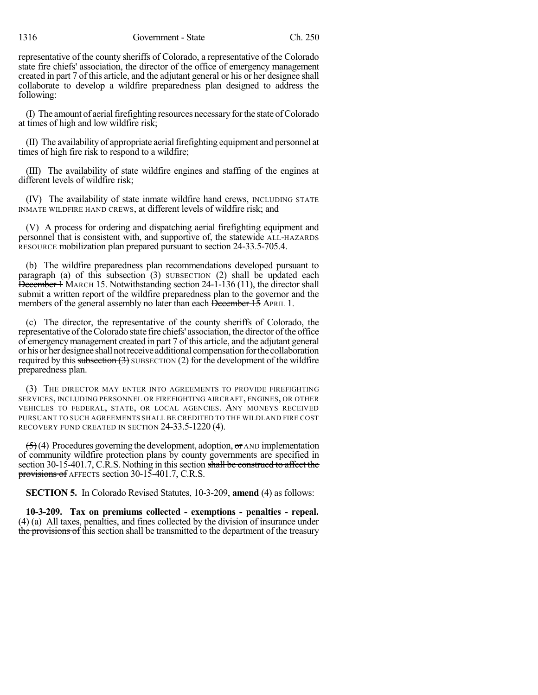1316 Government - State Ch. 250

representative of the county sheriffs of Colorado, a representative of the Colorado state fire chiefs' association, the director of the office of emergency management created in part 7 of this article, and the adjutant general or his or her designee shall collaborate to develop a wildfire preparedness plan designed to address the following:

(I) The amount of aerial firefighting resources necessary for the state of Colorado at times of high and low wildfire risk;

(II) The availability of appropriate aerialfirefighting equipment and personnel at times of high fire risk to respond to a wildfire;

(III) The availability of state wildfire engines and staffing of the engines at different levels of wildfire risk;

(IV) The availability of state inmate wildfire hand crews, INCLUDING STATE INMATE WILDFIRE HAND CREWS, at different levels of wildfire risk; and

(V) A process for ordering and dispatching aerial firefighting equipment and personnel that is consistent with, and supportive of, the statewide ALL-HAZARDS RESOURCE mobilization plan prepared pursuant to section 24-33.5-705.4.

(b) The wildfire preparedness plan recommendations developed pursuant to paragraph (a) of this subsection  $(3)$  SUBSECTION (2) shall be updated each December 1 MARCH 15. Notwithstanding section 24-1-136 (11), the director shall submit a written report of the wildfire preparedness plan to the governor and the members of the general assembly no later than each December 15 APRIL 1.

(c) The director, the representative of the county sheriffs of Colorado, the representative of the Colorado state fire chiefs' association, the director of the office of emergency management created in part 7 of this article, and the adjutant general or his or her designee shall not receive additional compensation for the collaboration required by this subsection  $(3)$  SUBSECTION  $(2)$  for the development of the wildfire preparedness plan.

(3) THE DIRECTOR MAY ENTER INTO AGREEMENTS TO PROVIDE FIREFIGHTING SERVICES, INCLUDING PERSONNEL OR FIREFIGHTING AIRCRAFT, ENGINES, OR OTHER VEHICLES TO FEDERAL, STATE, OR LOCAL AGENCIES. ANY MONEYS RECEIVED PURSUANT TO SUCH AGREEMENTS SHALL BE CREDITED TO THE WILDLAND FIRE COST RECOVERY FUND CREATED IN SECTION 24-33.5-1220 (4).

 $(5)(4)$  Procedures governing the development, adoption, or AND implementation of community wildfire protection plans by county governments are specified in section 30-15-401.7, C.R.S. Nothing in this section shall be construed to affect the provisions of AFFECTS section 30-15-401.7, C.R.S.

**SECTION 5.** In Colorado Revised Statutes, 10-3-209, **amend** (4) as follows:

**10-3-209. Tax on premiums collected - exemptions - penalties - repeal.** (4) (a) All taxes, penalties, and fines collected by the division of insurance under the provisions of this section shall be transmitted to the department of the treasury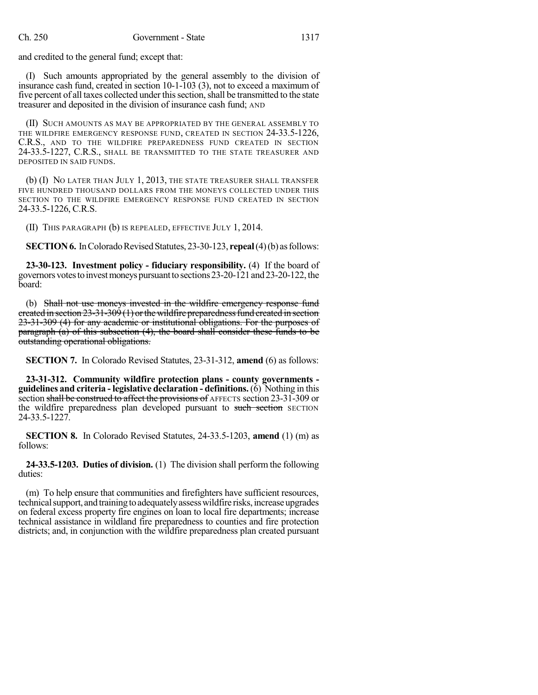and credited to the general fund; except that:

(I) Such amounts appropriated by the general assembly to the division of insurance cash fund, created in section 10-1-103 (3), not to exceed a maximum of five percent of all taxes collected under thissection,shall be transmitted to the state treasurer and deposited in the division of insurance cash fund; AND

(II) SUCH AMOUNTS AS MAY BE APPROPRIATED BY THE GENERAL ASSEMBLY TO THE WILDFIRE EMERGENCY RESPONSE FUND, CREATED IN SECTION 24-33.5-1226, C.R.S., AND TO THE WILDFIRE PREPAREDNESS FUND CREATED IN SECTION 24-33.5-1227, C.R.S., SHALL BE TRANSMITTED TO THE STATE TREASURER AND DEPOSITED IN SAID FUNDS.

(b) (I) NO LATER THAN JULY 1, 2013, THE STATE TREASURER SHALL TRANSFER FIVE HUNDRED THOUSAND DOLLARS FROM THE MONEYS COLLECTED UNDER THIS SECTION TO THE WILDFIRE EMERGENCY RESPONSE FUND CREATED IN SECTION 24-33.5-1226, C.R.S.

(II) THIS PARAGRAPH (b) IS REPEALED, EFFECTIVE JULY 1, 2014.

**SECTION 6.** In Colorado Revised Statutes, 23-30-123, **repeal**(4)(b) as follows:

**23-30-123. Investment policy - fiduciary responsibility.** (4) If the board of governors votes to invest moneys pursuant to sections 23-20-121 and 23-20-122, the board:

(b) Shall not use moneys invested in the wildfire emergency response fund ereated in section  $23-31-309(1)$  or the wildfire preparedness fund created in section 23-31-309 (4) for any academic or institutional obligations. For the purposes of paragraph (a) of this subsection (4), the board shall consider these funds to be outstanding operational obligations.

**SECTION 7.** In Colorado Revised Statutes, 23-31-312, **amend** (6) as follows:

**23-31-312. Community wildfire protection plans - county governments guidelines and criteria - legislative declaration - definitions.** (6) Nothing in this section shall be construed to affect the provisions of AFFECTS section 23-31-309 or the wildfire preparedness plan developed pursuant to such section SECTION 24-33.5-1227.

**SECTION 8.** In Colorado Revised Statutes, 24-33.5-1203, **amend** (1) (m) as follows:

**24-33.5-1203. Duties of division.** (1) The division shall perform the following duties:

(m) To help ensure that communities and firefighters have sufficient resources, technical support, and training to adequately assess wildfire risks, increase upgrades on federal excess property fire engines on loan to local fire departments; increase technical assistance in wildland fire preparedness to counties and fire protection districts; and, in conjunction with the wildfire preparedness plan created pursuant